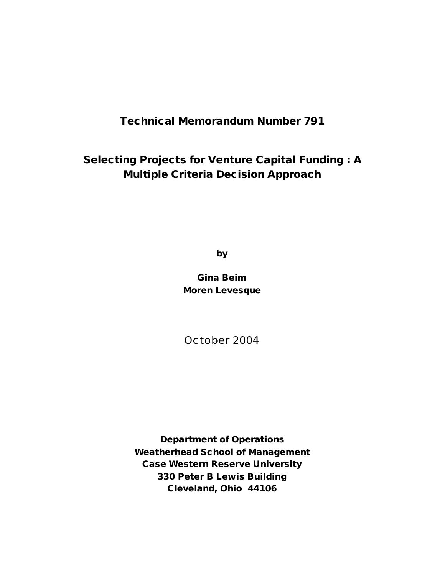## **Technical Memorandum Number 791**

## **Selecting Projects for Venture Capital Funding : A Multiple Criteria Decision Approach**

**by**

**Gina Beim Moren Levesque**

October 2004

**Department of Operations Weatherhead School of Management Case Western Reserve University 330 Peter B Lewis Building Cleveland, Ohio 44106**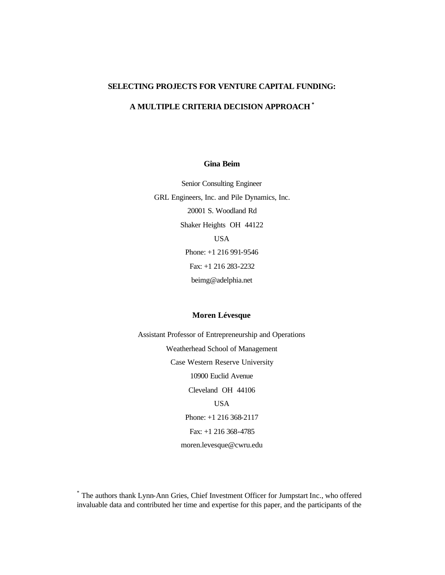## **SELECTING PROJECTS FOR VENTURE CAPITAL FUNDING:**

## **A MULTIPLE CRITERIA DECISION APPROACH \***

## **Gina Beim**

Senior Consulting Engineer GRL Engineers, Inc. and Pile Dynamics, Inc. 20001 S. Woodland Rd Shaker Heights OH 44122 USA Phone: +1 216 991-9546 Fax: +1 216 283-2232 beimg@adelphia.net

## **Moren Lévesque**

Assistant Professor of Entrepreneurship and Operations Weatherhead School of Management Case Western Reserve University 10900 Euclid Avenue Cleveland OH 44106 USA Phone: +1 216 368-2117 Fax: +1 216 368-4785 moren.levesque@cwru.edu

<sup>\*</sup> The authors thank Lynn-Ann Gries, Chief Investment Officer for Jumpstart Inc., who offered invaluable data and contributed her time and expertise for this paper, and the participants of the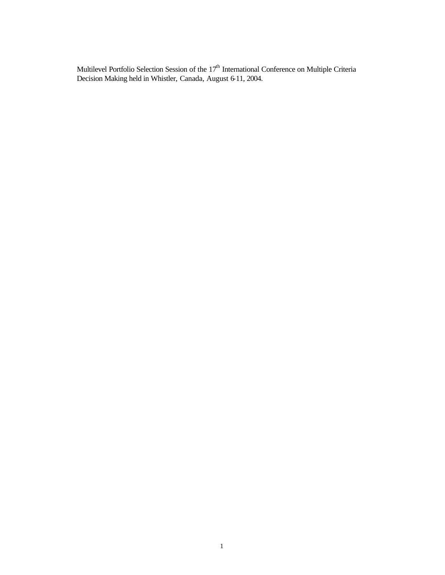Multilevel Portfolio Selection Session of the  $17<sup>th</sup>$  International Conference on Multiple Criteria Decision Making held in Whistler, Canada, August 6-11, 2004.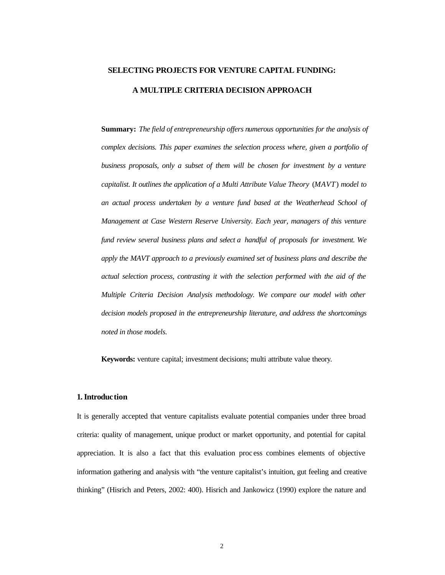# **SELECTING PROJECTS FOR VENTURE CAPITAL FUNDING: A MULTIPLE CRITERIA DECISION APPROACH**

**Summary:** *The field of entrepreneurship offers numerous opportunities for the analysis of complex decisions. This paper examines the selection process where, given a portfolio of business proposals, only a subset of them will be chosen for investment by a venture capitalist. It outlines the application of a Multi Attribute Value Theory* (*MAVT*) *model to an actual process undertaken by a venture fund based at the Weatherhead School of Management at Case Western Reserve University. Each year, managers of this venture fund review several business plans and select a handful of proposals for investment. We apply the MAVT approach to a previously examined set of business plans and describe the actual selection process, contrasting it with the selection performed with the aid of the Multiple Criteria Decision Analysis methodology. We compare our model with other decision models proposed in the entrepreneurship literature, and address the shortcomings noted in those models.* 

**Keywords:** venture capital; investment decisions; multi attribute value theory.

#### **1. Introduction**

It is generally accepted that venture capitalists evaluate potential companies under three broad criteria: quality of management, unique product or market opportunity, and potential for capital appreciation. It is also a fact that this evaluation proc ess combines elements of objective information gathering and analysis with "the venture capitalist's intuition, gut feeling and creative thinking" (Hisrich and Peters, 2002: 400). Hisrich and Jankowicz (1990) explore the nature and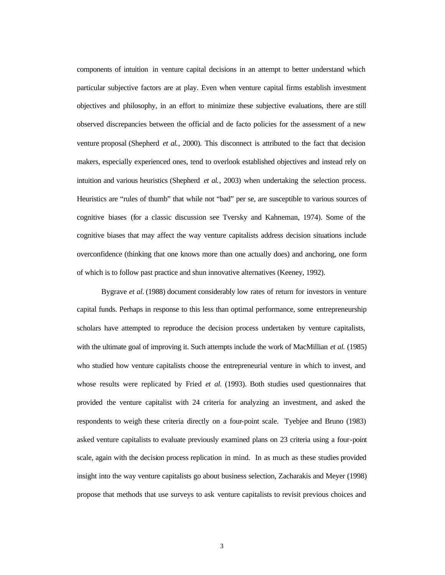components of intuition in venture capital decisions in an attempt to better understand which particular subjective factors are at play. Even when venture capital firms establish investment objectives and philosophy, in an effort to minimize these subjective evaluations, there are still observed discrepancies between the official and de facto policies for the assessment of a new venture proposal (Shepherd *et al.*, 2000). This disconnect is attributed to the fact that decision makers, especially experienced ones, tend to overlook established objectives and instead rely on intuition and various heuristics (Shepherd *et al.*, 2003) when undertaking the selection process. Heuristics are "rules of thumb" that while not "bad" per se, are susceptible to various sources of cognitive biases (for a classic discussion see Tversky and Kahneman, 1974). Some of the cognitive biases that may affect the way venture capitalists address decision situations include overconfidence (thinking that one knows more than one actually does) and anchoring, one form of which is to follow past practice and shun innovative alternatives (Keeney, 1992).

Bygrave *et al.* (1988) document considerably low rates of return for investors in venture capital funds. Perhaps in response to this less than optimal performance, some entrepreneurship scholars have attempted to reproduce the decision process undertaken by venture capitalists, with the ultimate goal of improving it. Such attempts include the work of MacMillian *et al.* (1985) who studied how venture capitalists choose the entrepreneurial venture in which to invest, and whose results were replicated by Fried *et al.* (1993). Both studies used questionnaires that provided the venture capitalist with 24 criteria for analyzing an investment, and asked the respondents to weigh these criteria directly on a four-point scale. Tyebjee and Bruno (1983) asked venture capitalists to evaluate previously examined plans on 23 criteria using a four-point scale, again with the decision process replication in mind. In as much as these studies provided insight into the way venture capitalists go about business selection, Zacharakis and Meyer (1998) propose that methods that use surveys to ask venture capitalists to revisit previous choices and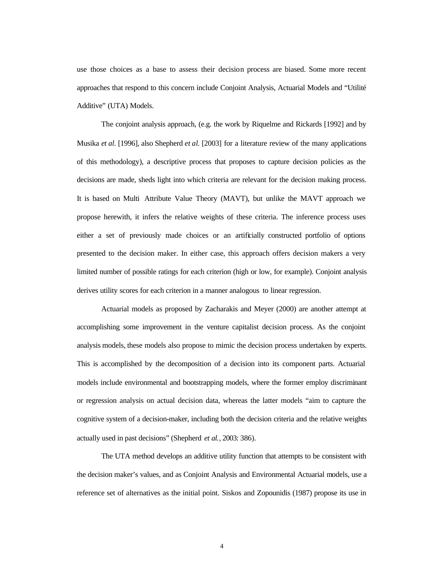use those choices as a base to assess their decision process are biased. Some more recent approaches that respond to this concern include Conjoint Analysis, Actuarial Models and "Utilité Additive" (UTA) Models.

The conjoint analysis approach, (e.g. the work by Riquelme and Rickards [1992] and by Musika *et al.* [1996], also Shepherd *et al.* [2003] for a literature review of the many applications of this methodology), a descriptive process that proposes to capture decision policies as the decisions are made, sheds light into which criteria are relevant for the decision making process. It is based on Multi Attribute Value Theory (MAVT), but unlike the MAVT approach we propose herewith, it infers the relative weights of these criteria. The inference process uses either a set of previously made choices or an artificially constructed portfolio of options presented to the decision maker. In either case, this approach offers decision makers a very limited number of possible ratings for each criterion (high or low, for example). Conjoint analysis derives utility scores for each criterion in a manner analogous to linear regression.

Actuarial models as proposed by Zacharakis and Meyer (2000) are another attempt at accomplishing some improvement in the venture capitalist decision process. As the conjoint analysis models, these models also propose to mimic the decision process undertaken by experts. This is accomplished by the decomposition of a decision into its component parts. Actuarial models include environmental and bootstrapping models, where the former employ discriminant or regression analysis on actual decision data, whereas the latter models "aim to capture the cognitive system of a decision-maker, including both the decision criteria and the relative weights actually used in past decisions" (Shepherd *et al.*, 2003: 386).

The UTA method develops an additive utility function that attempts to be consistent with the decision maker's values, and as Conjoint Analysis and Environmental Actuarial models, use a reference set of alternatives as the initial point. Siskos and Zopounidis (1987) propose its use in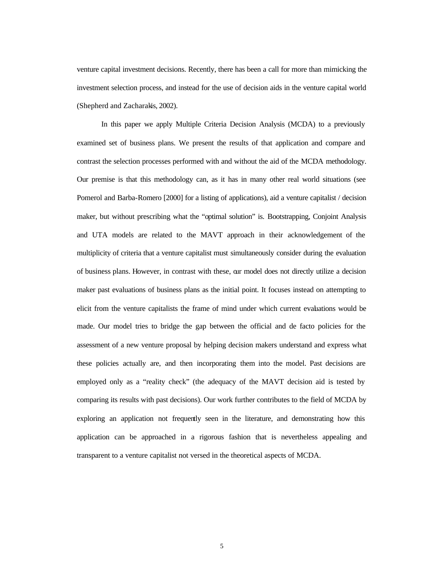venture capital investment decisions. Recently, there has been a call for more than mimicking the investment selection process, and instead for the use of decision aids in the venture capital world (Shepherd and Zacharakis, 2002).

In this paper we apply Multiple Criteria Decision Analysis (MCDA) to a previously examined set of business plans. We present the results of that application and compare and contrast the selection processes performed with and without the aid of the MCDA methodology. Our premise is that this methodology can, as it has in many other real world situations (see Pomerol and Barba-Romero [2000] for a listing of applications), aid a venture capitalist / decision maker, but without prescribing what the "optimal solution" is. Bootstrapping, Conjoint Analysis and UTA models are related to the MAVT approach in their acknowledgement of the multiplicity of criteria that a venture capitalist must simultaneously consider during the evaluation of business plans. However, in contrast with these, our model does not directly utilize a decision maker past evaluations of business plans as the initial point. It focuses instead on attempting to elicit from the venture capitalists the frame of mind under which current evaluations would be made. Our model tries to bridge the gap between the official and de facto policies for the assessment of a new venture proposal by helping decision makers understand and express what these policies actually are, and then incorporating them into the model. Past decisions are employed only as a "reality check" (the adequacy of the MAVT decision aid is tested by comparing its results with past decisions). Our work further contributes to the field of MCDA by exploring an application not frequently seen in the literature, and demonstrating how this application can be approached in a rigorous fashion that is nevertheless appealing and transparent to a venture capitalist not versed in the theoretical aspects of MCDA.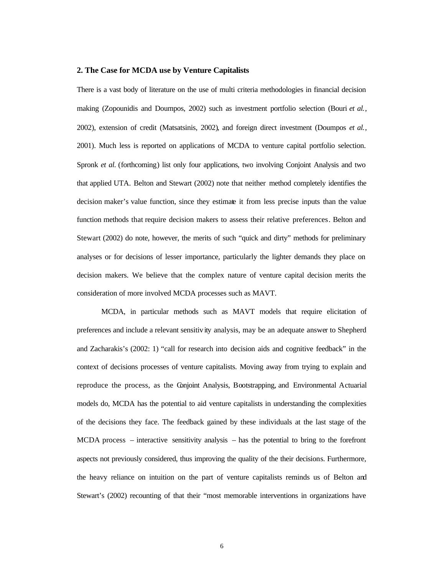## **2. The Case for MCDA use by Venture Capitalists**

There is a vast body of literature on the use of multi criteria methodologies in financial decision making (Zopounidis and Doumpos, 2002) such as investment portfolio selection (Bouri *et al.*, 2002), extension of credit (Matsatsinis, 2002), and foreign direct investment (Doumpos *et al.*, 2001). Much less is reported on applications of MCDA to venture capital portfolio selection. Spronk *et al.* (forthcoming) list only four applications, two involving Conjoint Analysis and two that applied UTA. Belton and Stewart (2002) note that neither method completely identifies the decision maker's value function, since they estimate it from less precise inputs than the value function methods that require decision makers to assess their relative preferences. Belton and Stewart (2002) do note, however, the merits of such "quick and dirty" methods for preliminary analyses or for decisions of lesser importance, particularly the lighter demands they place on decision makers. We believe that the complex nature of venture capital decision merits the consideration of more involved MCDA processes such as MAVT.

MCDA, in particular methods such as MAVT models that require elicitation of preferences and include a relevant sensitiv ity analysis, may be an adequate answer to Shepherd and Zacharakis's (2002: 1) "call for research into decision aids and cognitive feedback" in the context of decisions processes of venture capitalists. Moving away from trying to explain and reproduce the process, as the Conjoint Analysis, Bootstrapping, and Environmental Actuarial models do, MCDA has the potential to aid venture capitalists in understanding the complexities of the decisions they face. The feedback gained by these individuals at the last stage of the MCDA process – interactive sensitivity analysis – has the potential to bring to the forefront aspects not previously considered, thus improving the quality of the their decisions. Furthermore, the heavy reliance on intuition on the part of venture capitalists reminds us of Belton and Stewart's (2002) recounting of that their "most memorable interventions in organizations have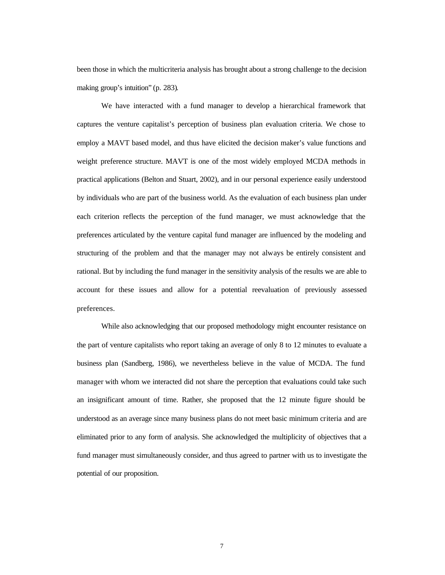been those in which the multicriteria analysis has brought about a strong challenge to the decision making group's intuition" (p. 283).

We have interacted with a fund manager to develop a hierarchical framework that captures the venture capitalist's perception of business plan evaluation criteria. We chose to employ a MAVT based model, and thus have elicited the decision maker's value functions and weight preference structure. MAVT is one of the most widely employed MCDA methods in practical applications (Belton and Stuart, 2002), and in our personal experience easily understood by individuals who are part of the business world. As the evaluation of each business plan under each criterion reflects the perception of the fund manager, we must acknowledge that the preferences articulated by the venture capital fund manager are influenced by the modeling and structuring of the problem and that the manager may not always be entirely consistent and rational. But by including the fund manager in the sensitivity analysis of the results we are able to account for these issues and allow for a potential reevaluation of previously assessed preferences.

While also acknowledging that our proposed methodology might encounter resistance on the part of venture capitalists who report taking an average of only 8 to 12 minutes to evaluate a business plan (Sandberg, 1986), we nevertheless believe in the value of MCDA. The fund manager with whom we interacted did not share the perception that evaluations could take such an insignificant amount of time. Rather, she proposed that the 12 minute figure should be understood as an average since many business plans do not meet basic minimum criteria and are eliminated prior to any form of analysis. She acknowledged the multiplicity of objectives that a fund manager must simultaneously consider, and thus agreed to partner with us to investigate the potential of our proposition.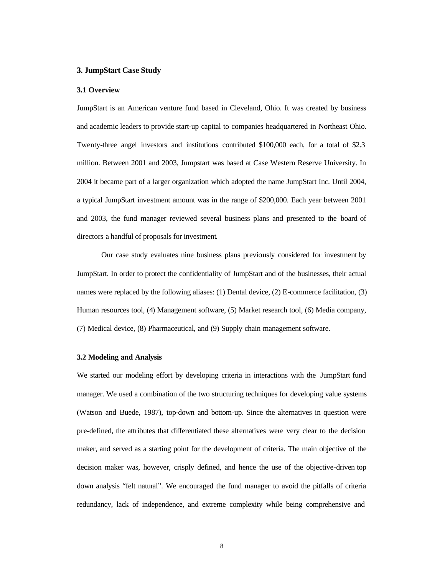### **3. JumpStart Case Study**

#### **3.1 Overview**

JumpStart is an American venture fund based in Cleveland, Ohio. It was created by business and academic leaders to provide start-up capital to companies headquartered in Northeast Ohio. Twenty-three angel investors and institutions contributed \$100,000 each, for a total of \$2.3 million. Between 2001 and 2003, Jumpstart was based at Case Western Reserve University. In 2004 it became part of a larger organization which adopted the name JumpStart Inc. Until 2004, a typical JumpStart investment amount was in the range of \$200,000. Each year between 2001 and 2003, the fund manager reviewed several business plans and presented to the board of directors a handful of proposals for investment.

Our case study evaluates nine business plans previously considered for investment by JumpStart. In order to protect the confidentiality of JumpStart and of the businesses, their actual names were replaced by the following aliases: (1) Dental device, (2) E-commerce facilitation, (3) Human resources tool, (4) Management software, (5) Market research tool, (6) Media company, (7) Medical device, (8) Pharmaceutical, and (9) Supply chain management software.

### **3.2 Modeling and Analysis**

We started our modeling effort by developing criteria in interactions with the JumpStart fund manager. We used a combination of the two structuring techniques for developing value systems (Watson and Buede, 1987), top-down and bottom-up. Since the alternatives in question were pre-defined, the attributes that differentiated these alternatives were very clear to the decision maker, and served as a starting point for the development of criteria. The main objective of the decision maker was, however, crisply defined, and hence the use of the objective-driven top down analysis "felt natural". We encouraged the fund manager to avoid the pitfalls of criteria redundancy, lack of independence, and extreme complexity while being comprehensive and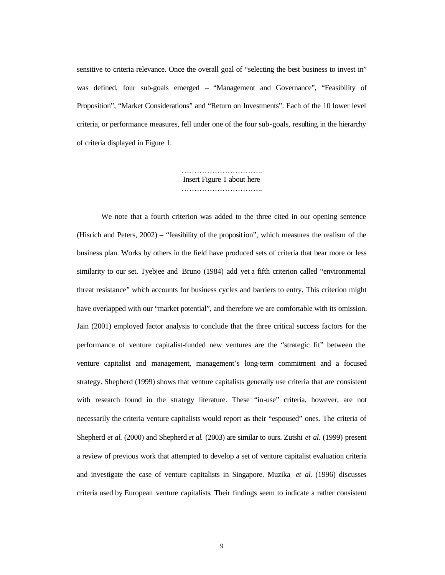sensitive to criteria relevance. Once the overall goal of "selecting the best business to invest in" was defined, four sub-goals emerged – "Management and Governance", "Feasibility of Proposition", "Market Considerations" and "Return on Investments". Each of the 10 lower level criteria, or performance measures, fell under one of the four sub-goals, resulting in the hierarchy of criteria displayed in Figure 1.

> ………………………….. Insert Figure 1 about here …………………………………

We note that a fourth criterion was added to the three cited in our opening sentence (Hisrich and Peters, 2002) – "feasibility of the proposition", which measures the realism of the business plan. Works by others in the field have produced sets of criteria that bear more or less similarity to our set. Tyebjee and Bruno (1984) add yet a fifth criterion called "environmental threat resistance" which accounts for business cycles and barriers to entry. This criterion might have overlapped with our "market potential", and therefore we are comfortable with its omission. Jain (2001) employed factor analysis to conclude that the three critical success factors for the performance of venture capitalist-funded new ventures are the "strategic fit" between the venture capitalist and management, management's long-term commitment and a focused strategy. Shepherd (1999) shows that venture capitalists generally use criteria that are consistent with research found in the strategy literature. These "in-use" criteria, however, are not necessarily the criteria venture capitalists would report as their "espoused" ones. The criteria of Shepherd *et al.* (2000) and Shepherd *et al.* (2003) are similar to ours. Zutshi *et al.* (1999) present a review of previous work that attempted to develop a set of venture capitalist evaluation criteria and investigate the case of venture capitalists in Singapore. Muzika *et al.* (1996) discusses criteria used by European venture capitalists. Their findings seem to indicate a rather consistent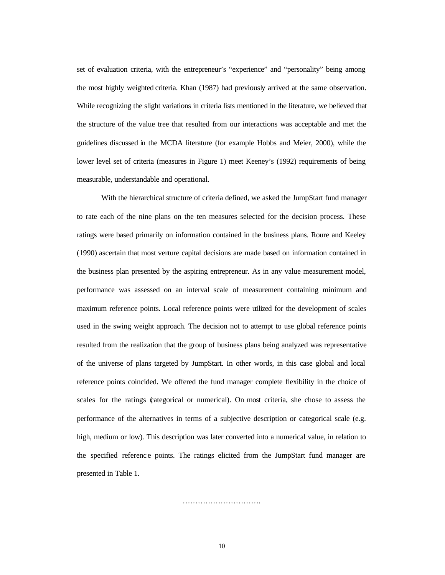set of evaluation criteria, with the entrepreneur's "experience" and "personality" being among the most highly weighted criteria. Khan (1987) had previously arrived at the same observation. While recognizing the slight variations in criteria lists mentioned in the literature, we believed that the structure of the value tree that resulted from our interactions was acceptable and met the guidelines discussed in the MCDA literature (for example Hobbs and Meier, 2000), while the lower level set of criteria (measures in Figure 1) meet Keeney's (1992) requirements of being measurable, understandable and operational.

With the hierarchical structure of criteria defined, we asked the JumpStart fund manager to rate each of the nine plans on the ten measures selected for the decision process. These ratings were based primarily on information contained in the business plans. Roure and Keeley (1990) ascertain that most venture capital decisions are made based on information contained in the business plan presented by the aspiring entrepreneur. As in any value measurement model, performance was assessed on an interval scale of measurement containing minimum and maximum reference points. Local reference points were utilized for the development of scales used in the swing weight approach. The decision not to attempt to use global reference points resulted from the realization that the group of business plans being analyzed was representative of the universe of plans targeted by JumpStart. In other words, in this case global and local reference points coincided. We offered the fund manager complete flexibility in the choice of scales for the ratings (categorical or numerical). On most criteria, she chose to assess the performance of the alternatives in terms of a subjective description or categorical scale (e.g. high, medium or low). This description was later converted into a numerical value, in relation to the specified referenc e points. The ratings elicited from the JumpStart fund manager are presented in Table 1.

10

………………………………………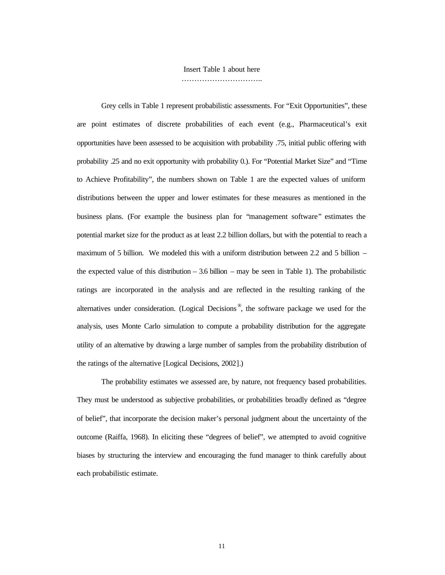Insert Table 1 about here

…………………………………

Grey cells in Table 1 represent probabilistic assessments. For "Exit Opportunities", these are point estimates of discrete probabilities of each event (e.g., Pharmaceutical's exit opportunities have been assessed to be acquisition with probability .75, initial public offering with probability .25 and no exit opportunity with probability 0.). For "Potential Market Size" and "Time to Achieve Profitability", the numbers shown on Table 1 are the expected values of uniform distributions between the upper and lower estimates for these measures as mentioned in the business plans. (For example the business plan for "management software" estimates the potential market size for the product as at least 2.2 billion dollars, but with the potential to reach a maximum of 5 billion. We modeled this with a uniform distribution between 2.2 and 5 billion – the expected value of this distribution – 3.6 billion – may be seen in Table 1). The probabilistic ratings are incorporated in the analysis and are reflected in the resulting ranking of the alternatives under consideration. (Logical Decisions<sup>®</sup>, the software package we used for the analysis, uses Monte Carlo simulation to compute a probability distribution for the aggregate utility of an alternative by drawing a large number of samples from the probability distribution of the ratings of the alternative [Logical Decisions, 2002].)

The probability estimates we assessed are, by nature, not frequency based probabilities. They must be understood as subjective probabilities, or probabilities broadly defined as "degree of belief", that incorporate the decision maker's personal judgment about the uncertainty of the outcome (Raiffa, 1968). In eliciting these "degrees of belief", we attempted to avoid cognitive biases by structuring the interview and encouraging the fund manager to think carefully about each probabilistic estimate.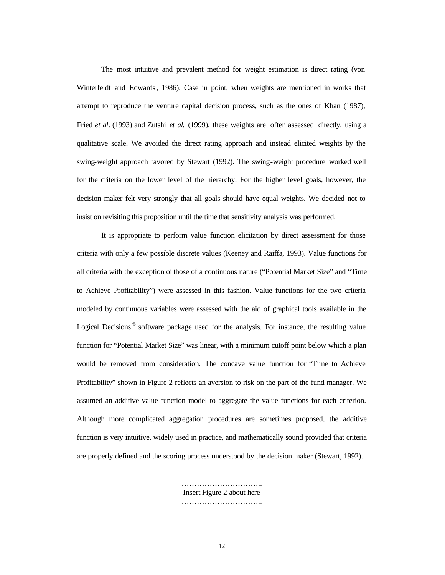The most intuitive and prevalent method for weight estimation is direct rating (von Winterfeldt and Edwards, 1986). Case in point, when weights are mentioned in works that attempt to reproduce the venture capital decision process, such as the ones of Khan (1987), Fried *et al.* (1993) and Zutshi *et al.* (1999), these weights are often assessed directly, using a qualitative scale. We avoided the direct rating approach and instead elicited weights by the swing-weight approach favored by Stewart (1992). The swing-weight procedure worked well for the criteria on the lower level of the hierarchy. For the higher level goals, however, the decision maker felt very strongly that all goals should have equal weights. We decided not to insist on revisiting this proposition until the time that sensitivity analysis was performed.

It is appropriate to perform value function elicitation by direct assessment for those criteria with only a few possible discrete values (Keeney and Raiffa, 1993). Value functions for all criteria with the exception of those of a continuous nature ("Potential Market Size" and "Time to Achieve Profitability") were assessed in this fashion. Value functions for the two criteria modeled by continuous variables were assessed with the aid of graphical tools available in the Logical Decisions<sup>®</sup> software package used for the analysis. For instance, the resulting value function for "Potential Market Size" was linear, with a minimum cutoff point below which a plan would be removed from consideration. The concave value function for "Time to Achieve Profitability" shown in Figure 2 reflects an aversion to risk on the part of the fund manager. We assumed an additive value function model to aggregate the value functions for each criterion. Although more complicated aggregation procedures are sometimes proposed, the additive function is very intuitive, widely used in practice, and mathematically sound provided that criteria are properly defined and the scoring process understood by the decision maker (Stewart, 1992).

> ………………………………… Insert Figure 2 about here …………………………………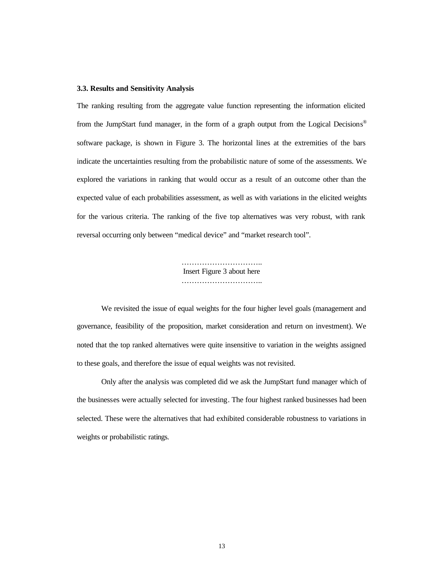#### **3.3. Results and Sensitivity Analysis**

The ranking resulting from the aggregate value function representing the information elicited from the JumpStart fund manager, in the form of a graph output from the Logical Decisions ® software package, is shown in Figure 3. The horizontal lines at the extremities of the bars indicate the uncertainties resulting from the probabilistic nature of some of the assessments. We explored the variations in ranking that would occur as a result of an outcome other than the expected value of each probabilities assessment, as well as with variations in the elicited weights for the various criteria. The ranking of the five top alternatives was very robust, with rank reversal occurring only between "medical device" and "market research tool".

> ………………………….. Insert Figure 3 about here …………………………………

We revisited the issue of equal weights for the four higher level goals (management and governance, feasibility of the proposition, market consideration and return on investment). We noted that the top ranked alternatives were quite insensitive to variation in the weights assigned to these goals, and therefore the issue of equal weights was not revisited.

Only after the analysis was completed did we ask the JumpStart fund manager which of the businesses were actually selected for investing. The four highest ranked businesses had been selected. These were the alternatives that had exhibited considerable robustness to variations in weights or probabilistic ratings.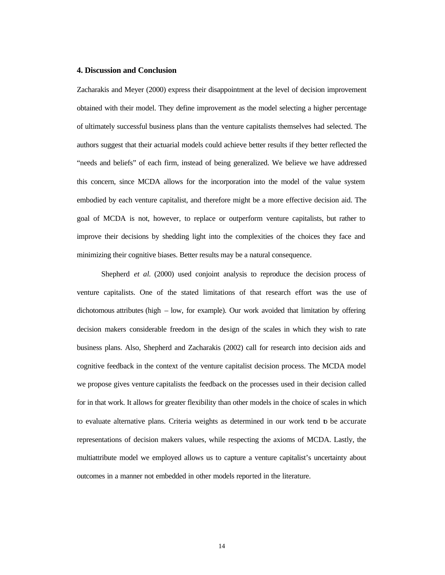#### **4. Discussion and Conclusion**

Zacharakis and Meyer (2000) express their disappointment at the level of decision improvement obtained with their model. They define improvement as the model selecting a higher percentage of ultimately successful business plans than the venture capitalists themselves had selected. The authors suggest that their actuarial models could achieve better results if they better reflected the "needs and beliefs" of each firm, instead of being generalized. We believe we have addressed this concern, since MCDA allows for the incorporation into the model of the value system embodied by each venture capitalist, and therefore might be a more effective decision aid. The goal of MCDA is not, however, to replace or outperform venture capitalists, but rather to improve their decisions by shedding light into the complexities of the choices they face and minimizing their cognitive biases. Better results may be a natural consequence.

Shepherd *et al.* (2000) used conjoint analysis to reproduce the decision process of venture capitalists. One of the stated limitations of that research effort was the use of dichotomous attributes (high – low, for example). Our work avoided that limitation by offering decision makers considerable freedom in the design of the scales in which they wish to rate business plans. Also, Shepherd and Zacharakis (2002) call for research into decision aids and cognitive feedback in the context of the venture capitalist decision process. The MCDA model we propose gives venture capitalists the feedback on the processes used in their decision called for in that work. It allows for greater flexibility than other models in the choice of scales in which to evaluate alternative plans. Criteria weights as determined in our work tend to be accurate representations of decision makers values, while respecting the axioms of MCDA. Lastly, the multiattribute model we employed allows us to capture a venture capitalist's uncertainty about outcomes in a manner not embedded in other models reported in the literature.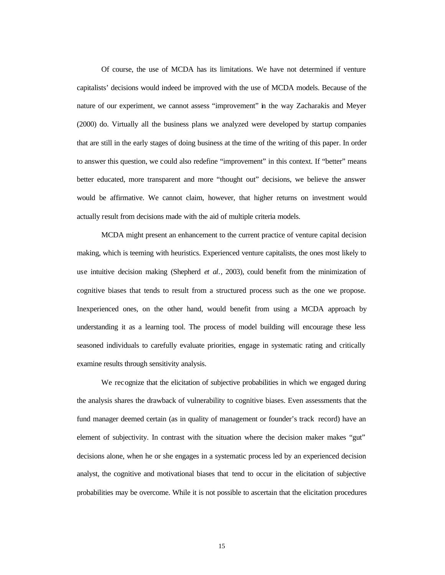Of course, the use of MCDA has its limitations. We have not determined if venture capitalists' decisions would indeed be improved with the use of MCDA models. Because of the nature of our experiment, we cannot assess "improvement" in the way Zacharakis and Meyer (2000) do. Virtually all the business plans we analyzed were developed by startup companies that are still in the early stages of doing business at the time of the writing of this paper. In order to answer this question, we could also redefine "improvement" in this context. If "better" means better educated, more transparent and more "thought out" decisions, we believe the answer would be affirmative. We cannot claim, however, that higher returns on investment would actually result from decisions made with the aid of multiple criteria models.

MCDA might present an enhancement to the current practice of venture capital decision making, which is teeming with heuristics. Experienced venture capitalists, the ones most likely to use intuitive decision making (Shepherd *et al.*, 2003), could benefit from the minimization of cognitive biases that tends to result from a structured process such as the one we propose. Inexperienced ones, on the other hand, would benefit from using a MCDA approach by understanding it as a learning tool. The process of model building will encourage these less seasoned individuals to carefully evaluate priorities, engage in systematic rating and critically examine results through sensitivity analysis.

We recognize that the elicitation of subjective probabilities in which we engaged during the analysis shares the drawback of vulnerability to cognitive biases. Even assessments that the fund manager deemed certain (as in quality of management or founder's track record) have an element of subjectivity. In contrast with the situation where the decision maker makes "gut" decisions alone, when he or she engages in a systematic process led by an experienced decision analyst, the cognitive and motivational biases that tend to occur in the elicitation of subjective probabilities may be overcome. While it is not possible to ascertain that the elicitation procedures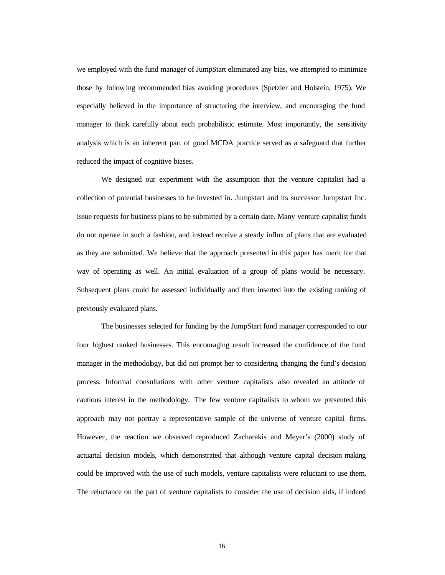we employed with the fund manager of JumpStart eliminated any bias, we attempted to minimize those by following recommended bias avoiding procedures (Spetzler and Holstein, 1975). We especially believed in the importance of structuring the interview, and encouraging the fund manager to think carefully about each probabilistic estimate. Most importantly, the sensitivity analysis which is an inherent part of good MCDA practice served as a safeguard that further reduced the impact of cognitive biases.

We designed our experiment with the assumption that the venture capitalist had a collection of potential businesses to be invested in. Jumpstart and its successor Jumpstart Inc. issue requests for business plans to be submitted by a certain date. Many venture capitalist funds do not operate in such a fashion, and instead receive a steady influx of plans that are evaluated as they are submitted. We believe that the approach presented in this paper has merit for that way of operating as well. An initial evaluation of a group of plans would be necessary. Subsequent plans could be assessed individually and then inserted into the existing ranking of previously evaluated plans.

The businesses selected for funding by the JumpStart fund manager corresponded to our four highest ranked businesses. This encouraging result increased the confidence of the fund manager in the methodology, but did not prompt her to considering changing the fund's decision process. Informal consultations with other venture capitalists also revealed an attitude of cautious interest in the methodology. The few venture capitalists to whom we presented this approach may not portray a representative sample of the universe of venture capital firms. However, the reaction we observed reproduced Zacharakis and Meyer's (2000) study of actuarial decision models, which demonstrated that although venture capital decision making could be improved with the use of such models, venture capitalists were reluctant to use them. The reluctance on the part of venture capitalists to consider the use of decision aids, if indeed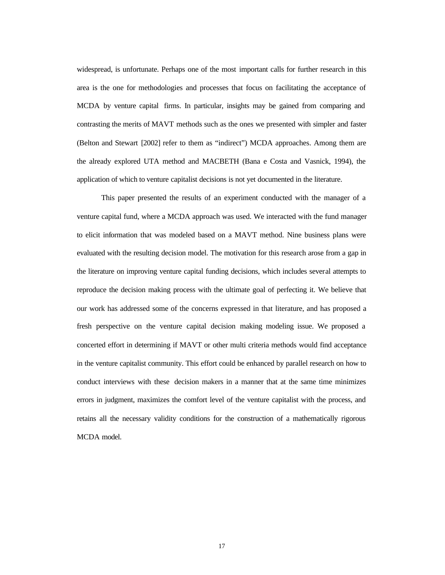widespread, is unfortunate. Perhaps one of the most important calls for further research in this area is the one for methodologies and processes that focus on facilitating the acceptance of MCDA by venture capital firms. In particular, insights may be gained from comparing and contrasting the merits of MAVT methods such as the ones we presented with simpler and faster (Belton and Stewart [2002] refer to them as "indirect") MCDA approaches. Among them are the already explored UTA method and MACBETH (Bana e Costa and Vasnick, 1994), the application of which to venture capitalist decisions is not yet documented in the literature.

This paper presented the results of an experiment conducted with the manager of a venture capital fund, where a MCDA approach was used. We interacted with the fund manager to elicit information that was modeled based on a MAVT method. Nine business plans were evaluated with the resulting decision model. The motivation for this research arose from a gap in the literature on improving venture capital funding decisions, which includes several attempts to reproduce the decision making process with the ultimate goal of perfecting it. We believe that our work has addressed some of the concerns expressed in that literature, and has proposed a fresh perspective on the venture capital decision making modeling issue. We proposed a concerted effort in determining if MAVT or other multi criteria methods would find acceptance in the venture capitalist community. This effort could be enhanced by parallel research on how to conduct interviews with these decision makers in a manner that at the same time minimizes errors in judgment, maximizes the comfort level of the venture capitalist with the process, and retains all the necessary validity conditions for the construction of a mathematically rigorous MCDA model.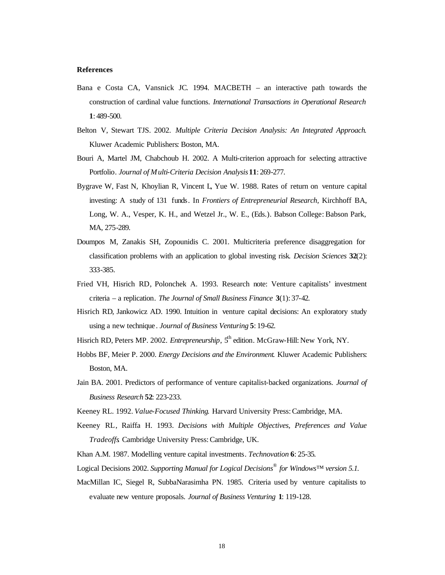### **References**

- Bana e Costa CA, Vansnick JC. 1994. MACBETH an interactive path towards the construction of cardinal value functions. *International Transactions in Operational Research*  **1**: 489-500.
- Belton V, Stewart TJS. 2002. *Multiple Criteria Decision Analysis: An Integrated Approach*. Kluwer Academic Publishers: Boston, MA.
- Bouri A, Martel JM, Chabchoub H. 2002. A Multi-criterion approach for selecting attractive Portfolio. *Journal of Multi-Criteria Decision Analysis***11**: 269-277.
- Bygrave W, Fast N, Khoylian R, Vincent L, Yue W. 1988. Rates of return on venture capital investing: A study of 131 funds. In *Frontiers of Entrepreneurial Research,* Kirchhoff BA, Long, W. A., Vesper, K. H., and Wetzel Jr., W. E., (Eds.). Babson College: Babson Park, MA, 275-289.
- Doumpos M, Zanakis SH, Zopounidis C. 2001. Multicriteria preference disaggregation for classification problems with an application to global investing risk. *Decision Sciences* **32**(2): 333-385.
- Fried VH, Hisrich RD, Polonchek A. 1993. Research note: Venture capitalists' investment criteria – a replication. *The Journal of Small Business Finance* **3**(1): 37-42.
- Hisrich RD, Jankowicz AD. 1990. Intuition in venture capital decisions: An exploratory study using a new technique. *Journal of Business Venturing* **5**: 19-62.
- Hisrich RD, Peters MP. 2002. *Entrepreneurship*, 5<sup>th</sup> edition. McGraw-Hill: New York, NY.
- Hobbs BF, Meier P. 2000. *Energy Decisions and the Environment*. Kluwer Academic Publishers: Boston, MA.
- Jain BA. 2001. Predictors of performance of venture capitalist-backed organizations. *Journal of Business Research* **52**: 223-233.
- Keeney RL. 1992. *Value-Focused Thinking*. Harvard University Press: Cambridge, MA.
- Keeney RL, Raiffa H. 1993. *Decisions with Multiple Objectives, Preferences and Value Tradeoffs*. Cambridge University Press: Cambridge, UK.
- Khan A.M. 1987. Modelling venture capital investments. *Technovation* **6**: 25-35.
- Logical Decisions 2002. *Supporting Manual for Logical Decisions® for Windows™ version 5.1.*
- MacMillan IC, Siegel R, SubbaNarasimha PN. 1985. Criteria used by venture capitalists to evaluate new venture proposals. *Journal of Business Venturing* **1**: 119-128.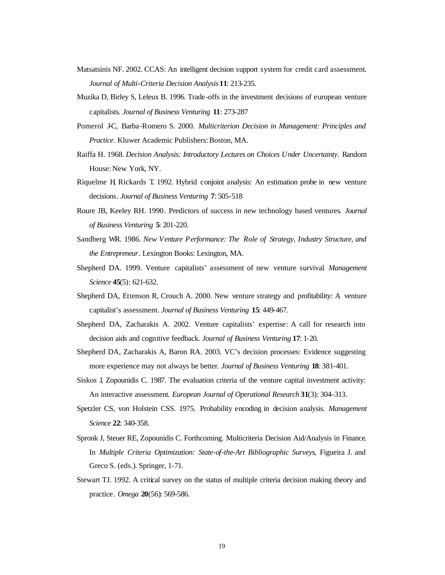- Matsatsinis NF. 2002. CCAS: An intelligent decision support system for credit card assessment. *Journal of Multi-Criteria Decision Analysis***11**: 213-235.
- Muzika D, Birley S, Leleux B. 1996. Trade -offs in the investment decisions of european venture capitalists. *Journal of Business Venturing* **11**: 273-287
- Pomerol J-C, Barba -Romero S. 2000. *Multicriterion Decision in Management: Principles and Practice*. Kluwer Academic Publishers: Boston, MA.
- Raiffa H. 1968. *Decision Analysis: Introductory Lectures on Choices Under Uncertainty*. Random House: New York, NY.
- Riquelme H, Rickards T. 1992. Hybrid conjoint analysis: An estimation probe in new venture decisions. *Journal of Business Venturing* **7**: 505-518
- Roure JB, Keeley RH. 1990. Predictors of success in new technology based ventures. *Journal of Business Venturing* **5**: 201-220.
- Sandberg WR. 1986. *New Venture Performance: The Role of Strategy, Industry Structure, and the Entrepreneur*. Lexington Books: Lexington, MA.
- Shepherd DA. 1999. Venture capitalists' assessment of new venture survival. *Management Science* **45**(5): 621-632.
- Shepherd DA, Ettenson R, Crouch A. 2000. New venture strategy and profitability: A venture capitalist's assessment. *Journal of Business Venturing* **15**: 449-467.
- Shepherd DA, Zacharakis A. 2002. Venture capitalists' expertise: A call for research into decision aids and cognitive feedback. *Journal of Business Venturing* **17**: 1-20.
- Shepherd DA, Zacharakis A, Baron RA. 2003. VC's decision processes: Evidence suggesting more experience may not always be better. *Journal of Business Venturing* **18**: 381-401.
- Siskos J, Zopounidis C. 1987. The evaluation criteria of the venture capital investment activity: An interactive assessment. *European Journal of Operational Research* **31**(3): 304–313.
- Spetzler CS, von Holstein CSS. 1975. Probability encoding in decision analysis. *Management Science* **22**: 340-358.
- Spronk J, Steuer RE, Zopounidis C. Forthcoming. Multicriteria Decision Aid/Analysis in Finance. In *Multiple Criteria Optimization: State-of-the-Art Bibliographic Surveys*, Figueira J. and Greco S. (eds.). Springer, 1-71.
- Stewart TJ. 1992. A critical survey on the status of multiple criteria decision making theory and practice. *Omega* **20**(56): 569-586.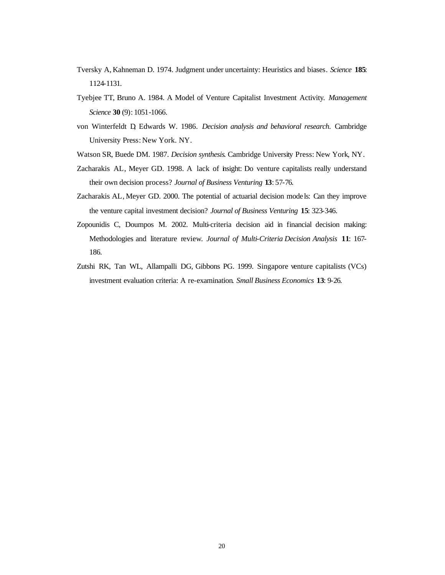- Tversky A, Kahneman D. 1974. Judgment under uncertainty: Heuristics and biases. *Science* **185**: 1124-1131.
- Tyebjee TT, Bruno A. 1984. A Model of Venture Capitalist Investment Activity. *Management Science* **30** (9): 1051-1066.
- von Winterfeldt D, Edwards W. 1986. *Decision analysis and behavioral research*. Cambridge University Press: New York. NY.
- Watson SR, Buede DM. 1987. *Decision synthesis*. Cambridge University Press: New York, NY.
- Zacharakis AL, Meyer GD. 1998. A lack of insight: Do venture capitalists really understand their own decision process? *Journal of Business Venturing* **13**: 57-76.
- Zacharakis AL, Meyer GD. 2000. The potential of actuarial decision mode ls: Can they improve the venture capital investment decision? *Journal of Business Venturing* **15**: 323-346.
- Zopounidis C, Doumpos M. 2002. Multi-criteria decision aid in financial decision making: Methodologies and literature review. *Journal of Multi-Criteria Decision Analysis* **11**: 167- 186.
- Zutshi RK, Tan WL, Allampalli DG, Gibbons PG. 1999. Singapore venture capitalists (VCs) investment evaluation criteria: A re-examination. *Small Business Economics* **13**: 9-26.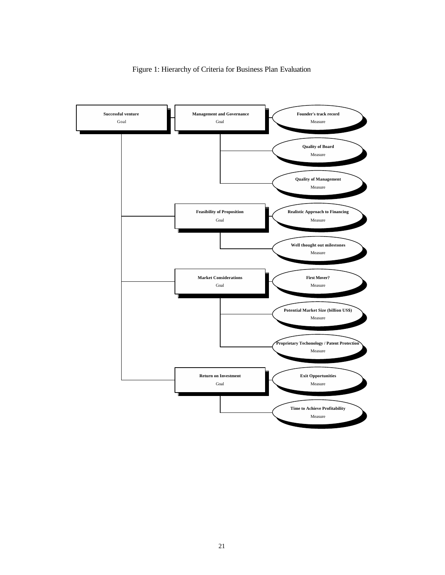

Figure 1: Hierarchy of Criteria for Business Plan Evaluation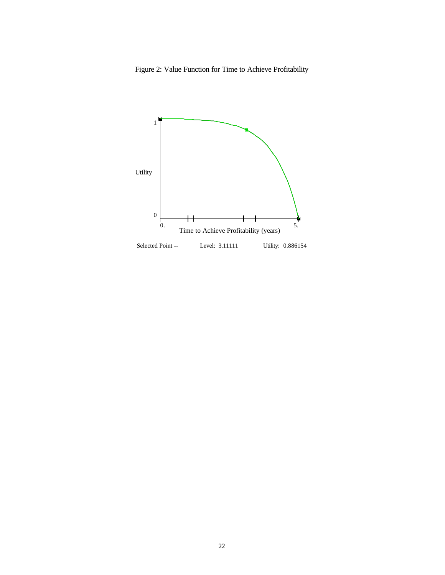Figure 2: Value Function for Time to Achieve Profitability

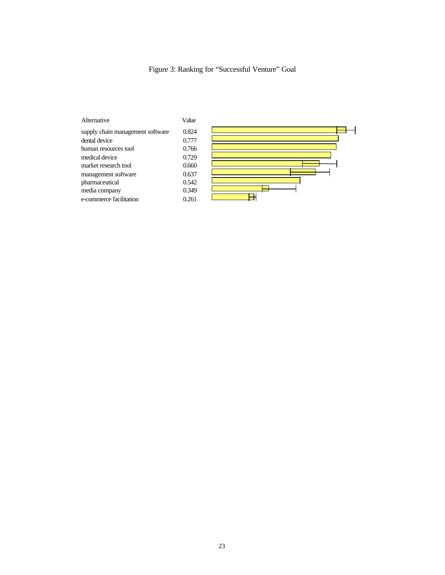Figure 3: Ranking for "Successful Venture" Goal